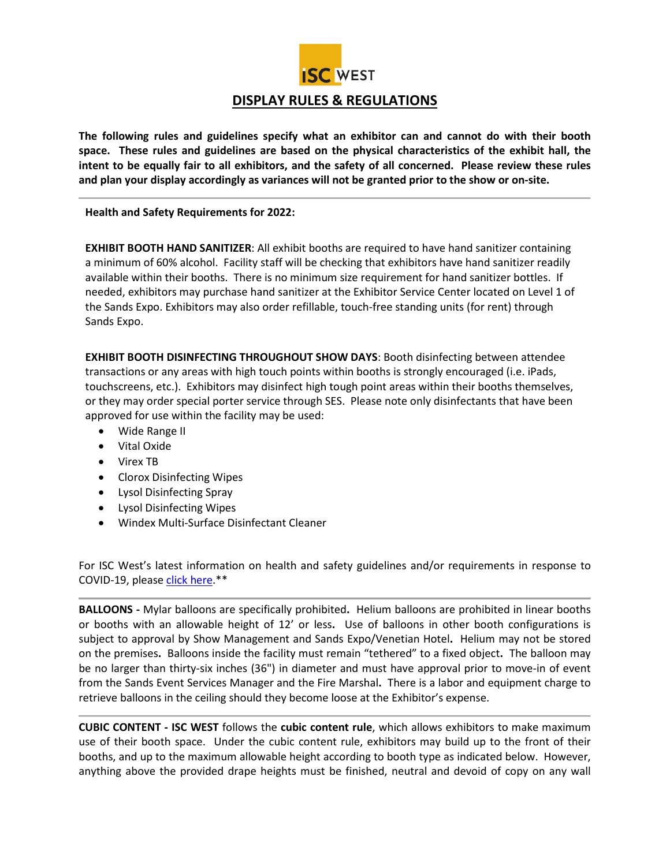

**The following rules and guidelines specify what an exhibitor can and cannot do with their booth space. These rules and guidelines are based on the physical characteristics of the exhibit hall, the intent to be equally fair to all exhibitors, and the safety of all concerned. Please review these rules and plan your display accordingly as variances will not be granted prior to the show or on-site.** 

**Health and Safety Requirements for 2022:** 

**EXHIBIT BOOTH HAND SANITIZER**: All exhibit booths are required to have hand sanitizer containing a minimum of 60% alcohol. Facility staff will be checking that exhibitors have hand sanitizer readily available within their booths. There is no minimum size requirement for hand sanitizer bottles. If needed, exhibitors may purchase hand sanitizer at the Exhibitor Service Center located on Level 1 of the Sands Expo. Exhibitors may also order refillable, touch-free standing units (for rent) through Sands Expo.

**EXHIBIT BOOTH DISINFECTING THROUGHOUT SHOW DAYS**: Booth disinfecting between attendee transactions or any areas with high touch points within booths is strongly encouraged (i.e. iPads, touchscreens, etc.). Exhibitors may disinfect high tough point areas within their booths themselves, or they may order special porter service through SES. Please note only disinfectants that have been approved for use within the facility may be used:

- Wide Range II
- Vital Oxide
- Virex TB
- Clorox Disinfecting Wipes
- Lysol Disinfecting Spray
- Lysol Disinfecting Wipes
- Windex Multi-Surface Disinfectant Cleaner

For ISC West's latest information on health and safety guidelines and/or requirements in response to COVID-19, please [click here.](https://www.iscwest.com/en-us/health-and-safety.html)\*\*

**BALLOONS -** Mylar balloons are specifically prohibited**.** Helium balloons are prohibited in linear booths or booths with an allowable height of 12' or less**.** Use of balloons in other booth configurations is subject to approval by Show Management and Sands Expo/Venetian Hotel**.** Helium may not be stored on the premises**.** Balloons inside the facility must remain "tethered" to a fixed object**.** The balloon may be no larger than thirty-six inches (36") in diameter and must have approval prior to move-in of event from the Sands Event Services Manager and the Fire Marshal**.** There is a labor and equipment charge to retrieve balloons in the ceiling should they become loose at the Exhibitor's expense.

**CUBIC CONTENT - ISC WEST** follows the **cubic content rule**, which allows exhibitors to make maximum use of their booth space. Under the cubic content rule, exhibitors may build up to the front of their booths, and up to the maximum allowable height according to booth type as indicated below. However, anything above the provided drape heights must be finished, neutral and devoid of copy on any wall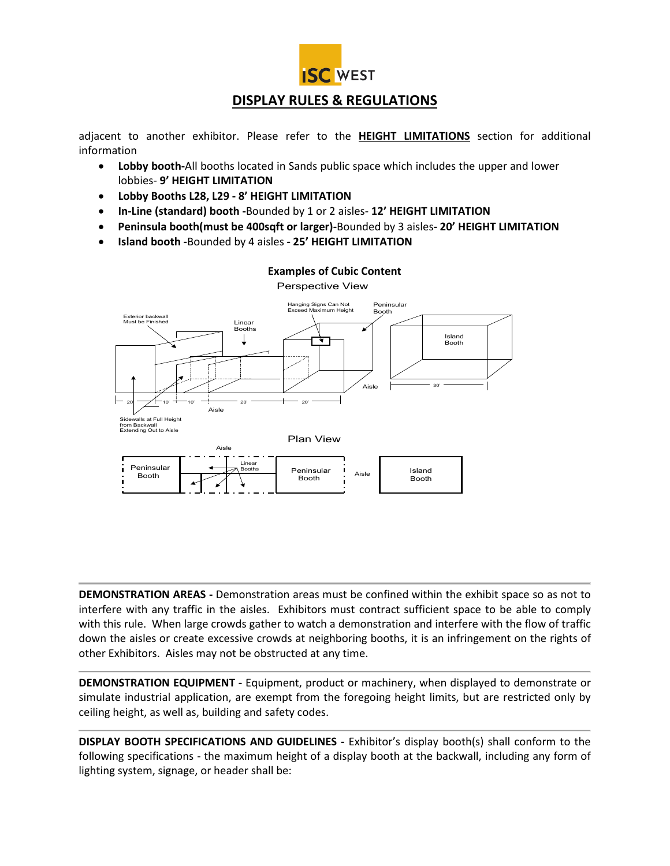

# **DISPLAY RULES & REGULATIONS**

adjacent to another exhibitor. Please refer to the **HEIGHT LIMITATIONS** section for additional information

- **Lobby booth-**All booths located in Sands public space which includes the upper and lower lobbies- **9' HEIGHT LIMITATION**
- **Lobby Booths L28, L29 - 8' HEIGHT LIMITATION**
- **In-Line (standard) booth -**Bounded by 1 or 2 aisles- **12' HEIGHT LIMITATION**
- **Peninsula booth(must be 400sqft or larger)-**Bounded by 3 aisles**- 20' HEIGHT LIMITATION**
- **Island booth -**Bounded by 4 aisles **- 25' HEIGHT LIMITATION**



## **Examples of Cubic Content**

Perspective View

**DEMONSTRATION AREAS -** Demonstration areas must be confined within the exhibit space so as not to interfere with any traffic in the aisles. Exhibitors must contract sufficient space to be able to comply with this rule. When large crowds gather to watch a demonstration and interfere with the flow of traffic down the aisles or create excessive crowds at neighboring booths, it is an infringement on the rights of other Exhibitors. Aisles may not be obstructed at any time.

**DEMONSTRATION EQUIPMENT -** Equipment, product or machinery, when displayed to demonstrate or simulate industrial application, are exempt from the foregoing height limits, but are restricted only by ceiling height, as well as, building and safety codes.

**DISPLAY BOOTH SPECIFICATIONS AND GUIDELINES -** Exhibitor's display booth(s) shall conform to the following specifications - the maximum height of a display booth at the backwall, including any form of lighting system, signage, or header shall be: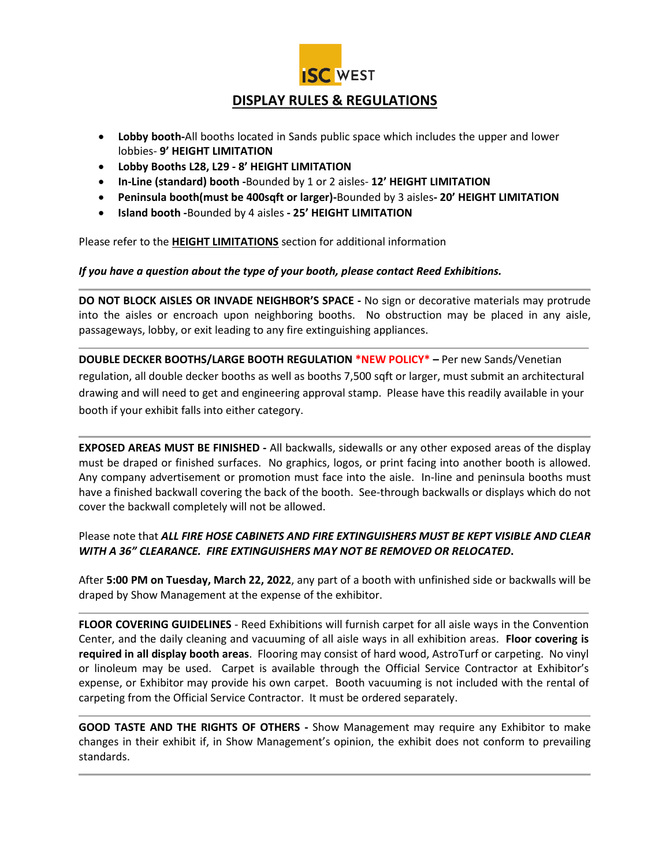

# **DISPLAY RULES & REGULATIONS**

- **Lobby booth-**All booths located in Sands public space which includes the upper and lower lobbies- **9' HEIGHT LIMITATION**
- **Lobby Booths L28, L29 - 8' HEIGHT LIMITATION**
- **In-Line (standard) booth -**Bounded by 1 or 2 aisles- **12' HEIGHT LIMITATION**
- **Peninsula booth(must be 400sqft or larger)-**Bounded by 3 aisles**- 20' HEIGHT LIMITATION**
- **Island booth -**Bounded by 4 aisles **- 25' HEIGHT LIMITATION**

Please refer to the **HEIGHT LIMITATIONS** section for additional information

#### *If you have a question about the type of your booth, please contact Reed Exhibitions.*

**DO NOT BLOCK AISLES OR INVADE NEIGHBOR'S SPACE -** No sign or decorative materials may protrude into the aisles or encroach upon neighboring booths. No obstruction may be placed in any aisle, passageways, lobby, or exit leading to any fire extinguishing appliances.

**DOUBLE DECKER BOOTHS/LARGE BOOTH REGULATION \*NEW POLICY\* –** Per new Sands/Venetian regulation, all double decker booths as well as booths 7,500 sqft or larger, must submit an architectural drawing and will need to get and engineering approval stamp. Please have this readily available in your booth if your exhibit falls into either category.

**EXPOSED AREAS MUST BE FINISHED -** All backwalls, sidewalls or any other exposed areas of the display must be draped or finished surfaces.No graphics, logos, or print facing into another booth is allowed. Any company advertisement or promotion must face into the aisle. In-line and peninsula booths must have a finished backwall covering the back of the booth. See-through backwalls or displays which do not cover the backwall completely will not be allowed.

### Please note that *ALL FIRE HOSE CABINETS AND FIRE EXTINGUISHERS MUST BE KEPT VISIBLE AND CLEAR WITH A 36" CLEARANCE. FIRE EXTINGUISHERS MAY NOT BE REMOVED OR RELOCATED***.**

After **5:00 PM on Tuesday, March 22, 2022**, any part of a booth with unfinished side or backwalls will be draped by Show Management at the expense of the exhibitor.

**FLOOR COVERING GUIDELINES** - Reed Exhibitions will furnish carpet for all aisle ways in the Convention Center, and the daily cleaning and vacuuming of all aisle ways in all exhibition areas. **Floor covering is required in all display booth areas**. Flooring may consist of hard wood, AstroTurf or carpeting. No vinyl or linoleum may be used. Carpet is available through the Official Service Contractor at Exhibitor's expense, or Exhibitor may provide his own carpet. Booth vacuuming is not included with the rental of carpeting from the Official Service Contractor. It must be ordered separately.

**GOOD TASTE AND THE RIGHTS OF OTHERS -** Show Management may require any Exhibitor to make changes in their exhibit if, in Show Management's opinion, the exhibit does not conform to prevailing standards.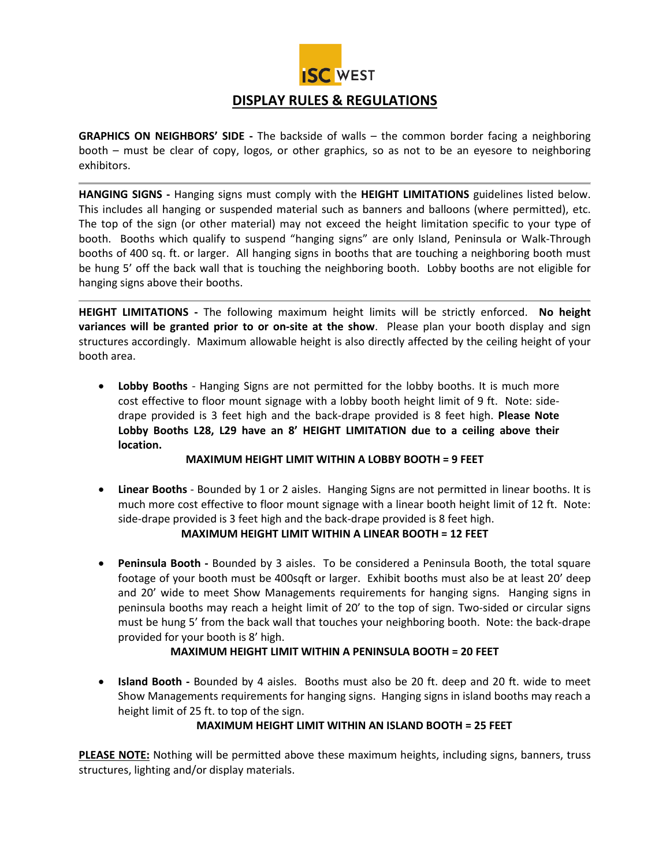

## **DISPLAY RULES & REGULATIONS**

**GRAPHICS ON NEIGHBORS' SIDE -** The backside of walls – the common border facing a neighboring booth – must be clear of copy, logos, or other graphics, so as not to be an eyesore to neighboring exhibitors.

**HANGING SIGNS -** Hanging signs must comply with the **HEIGHT LIMITATIONS** guidelines listed below. This includes all hanging or suspended material such as banners and balloons (where permitted), etc. The top of the sign (or other material) may not exceed the height limitation specific to your type of booth. Booths which qualify to suspend "hanging signs" are only Island, Peninsula or Walk-Through booths of 400 sq. ft. or larger. All hanging signs in booths that are touching a neighboring booth must be hung 5' off the back wall that is touching the neighboring booth. Lobby booths are not eligible for hanging signs above their booths.

**HEIGHT LIMITATIONS -** The following maximum height limits will be strictly enforced. **No height variances will be granted prior to or on-site at the show**. Please plan your booth display and sign structures accordingly. Maximum allowable height is also directly affected by the ceiling height of your booth area.

• **Lobby Booths** - Hanging Signs are not permitted for the lobby booths. It is much more cost effective to floor mount signage with a lobby booth height limit of 9 ft. Note: sidedrape provided is 3 feet high and the back-drape provided is 8 feet high. **Please Note Lobby Booths L28, L29 have an 8' HEIGHT LIMITATION due to a ceiling above their location.** 

### **MAXIMUM HEIGHT LIMIT WITHIN A LOBBY BOOTH = 9 FEET**

• **Linear Booths** - Bounded by 1 or 2 aisles. Hanging Signs are not permitted in linear booths. It is much more cost effective to floor mount signage with a linear booth height limit of 12 ft. Note: side-drape provided is 3 feet high and the back-drape provided is 8 feet high.

### **MAXIMUM HEIGHT LIMIT WITHIN A LINEAR BOOTH = 12 FEET**

• **Peninsula Booth -** Bounded by 3 aisles. To be considered a Peninsula Booth, the total square footage of your booth must be 400sqft or larger. Exhibit booths must also be at least 20' deep and 20' wide to meet Show Managements requirements for hanging signs. Hanging signs in peninsula booths may reach a height limit of 20' to the top of sign. Two-sided or circular signs must be hung 5' from the back wall that touches your neighboring booth. Note: the back-drape provided for your booth is 8' high.

### **MAXIMUM HEIGHT LIMIT WITHIN A PENINSULA BOOTH = 20 FEET**

• **Island Booth -** Bounded by 4 aisles. Booths must also be 20 ft. deep and 20 ft. wide to meet Show Managements requirements for hanging signs. Hanging signs in island booths may reach a height limit of 25 ft. to top of the sign.

### **MAXIMUM HEIGHT LIMIT WITHIN AN ISLAND BOOTH = 25 FEET**

**PLEASE NOTE:** Nothing will be permitted above these maximum heights, including signs, banners, truss structures, lighting and/or display materials.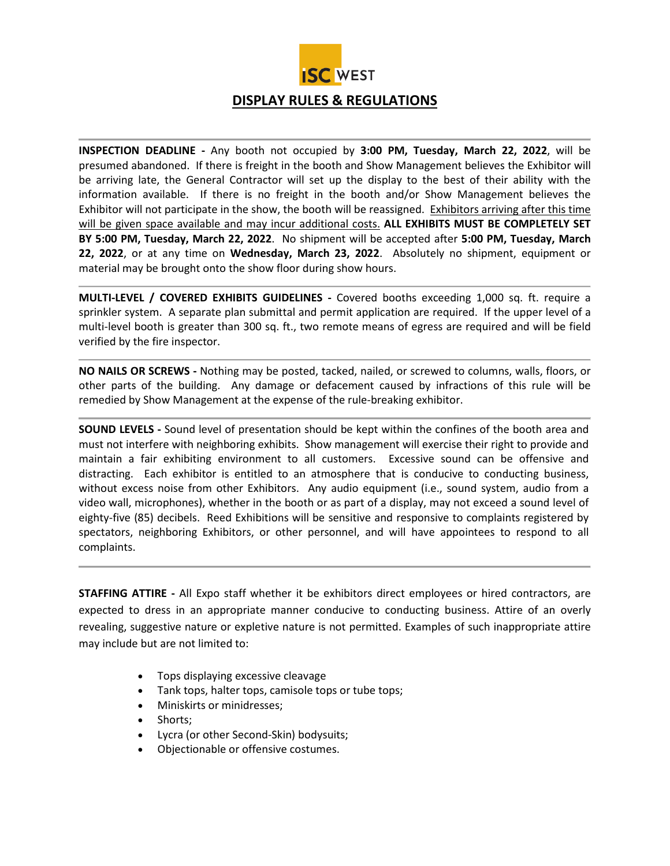

**INSPECTION DEADLINE -** Any booth not occupied by **3:00 PM, Tuesday, March 22, 2022**, will be presumed abandoned. If there is freight in the booth and Show Management believes the Exhibitor will be arriving late, the General Contractor will set up the display to the best of their ability with the information available. If there is no freight in the booth and/or Show Management believes the Exhibitor will not participate in the show, the booth will be reassigned. Exhibitors arriving after this time will be given space available and may incur additional costs. **ALL EXHIBITS MUST BE COMPLETELY SET BY 5:00 PM, Tuesday, March 22, 2022**. No shipment will be accepted after **5:00 PM, Tuesday, March 22, 2022**, or at any time on **Wednesday, March 23, 2022**. Absolutely no shipment, equipment or material may be brought onto the show floor during show hours.

**MULTI-LEVEL / COVERED EXHIBITS GUIDELINES -** Covered booths exceeding 1,000 sq. ft. require a sprinkler system. A separate plan submittal and permit application are required. If the upper level of a multi-level booth is greater than 300 sq. ft., two remote means of egress are required and will be field verified by the fire inspector.

**NO NAILS OR SCREWS -** Nothing may be posted, tacked, nailed, or screwed to columns, walls, floors, or other parts of the building. Any damage or defacement caused by infractions of this rule will be remedied by Show Management at the expense of the rule-breaking exhibitor.

**SOUND LEVELS -** Sound level of presentation should be kept within the confines of the booth area and must not interfere with neighboring exhibits. Show management will exercise their right to provide and maintain a fair exhibiting environment to all customers. Excessive sound can be offensive and distracting. Each exhibitor is entitled to an atmosphere that is conducive to conducting business, without excess noise from other Exhibitors. Any audio equipment (i.e., sound system, audio from a video wall, microphones), whether in the booth or as part of a display, may not exceed a sound level of eighty-five (85) decibels. Reed Exhibitions will be sensitive and responsive to complaints registered by spectators, neighboring Exhibitors, or other personnel, and will have appointees to respond to all complaints.

**STAFFING ATTIRE -** All Expo staff whether it be exhibitors direct employees or hired contractors, are expected to dress in an appropriate manner conducive to conducting business. Attire of an overly revealing, suggestive nature or expletive nature is not permitted. Examples of such inappropriate attire may include but are not limited to:

- Tops displaying excessive cleavage
- Tank tops, halter tops, camisole tops or tube tops;
- Miniskirts or minidresses;
- Shorts;
- Lycra (or other Second-Skin) bodysuits;
- Objectionable or offensive costumes.